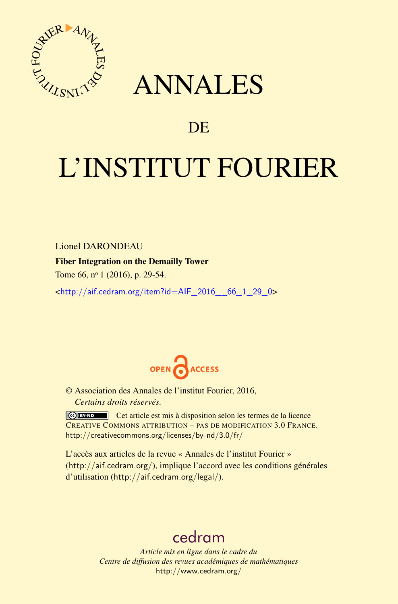

## ANNALES

### **DE**

# L'INSTITUT FOURIER

Lionel DARONDEAU

#### Fiber Integration on the Demailly Tower

Tome 66, nº 1 (2016), p. 29-54.

 $\text{chttp:}/\text{aif.cedram.org/item?id=AlF}$  2016 66 1 29 0>



© Association des Annales de l'institut Fourier, 2016, *Certains droits réservés.*

Cet article est mis à disposition selon les termes de la licence CREATIVE COMMONS ATTRIBUTION – PAS DE MODIFICATION 3.0 FRANCE. <http://creativecommons.org/licenses/by-nd/3.0/fr/>

L'accès aux articles de la revue « Annales de l'institut Fourier » (<http://aif.cedram.org/>), implique l'accord avec les conditions générales d'utilisation (<http://aif.cedram.org/legal/>).

## [cedram](http://www.cedram.org/)

*Article mis en ligne dans le cadre du Centre de diffusion des revues académiques de mathématiques* <http://www.cedram.org/>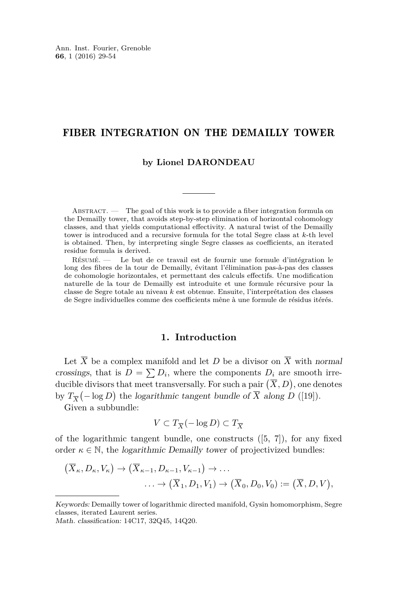#### FIBER INTEGRATION ON THE DEMAILLY TOWER

#### **by Lionel DARONDEAU**

ABSTRACT. — The goal of this work is to provide a fiber integration formula on the Demailly tower, that avoids step-by-step elimination of horizontal cohomology classes, and that yields computational effectivity. A natural twist of the Demailly tower is introduced and a recursive formula for the total Segre class at *k*-th level is obtained. Then, by interpreting single Segre classes as coefficients, an iterated residue formula is derived.

Résumé. — Le but de ce travail est de fournir une formule d'intégration le long des fibres de la tour de Demailly, évitant l'élimination pas-à-pas des classes de cohomologie horizontales, et permettant des calculs effectifs. Une modification naturelle de la tour de Demailly est introduite et une formule récursive pour la classe de Segre totale au niveau *k* est obtenue. Ensuite, l'interprétation des classes de Segre individuelles comme des coefficients mêne à une formule de résidus itérés.

#### **1. Introduction**

Let  $\overline{X}$  be a complex manifold and let *D* be a divisor on  $\overline{X}$  with normal crossings, that is  $D = \sum D_i$ , where the components  $D_i$  are smooth irreducible divisors that meet transversally. For such a pair  $(\overline{X}, D)$ , one denotes by  $T_{\overline{X}}(-\log D)$  the logarithmic tangent bundle of  $\overline{X}$  along  $D$  ([\[19\]](#page-25-0)).

Given a subbundle:

$$
V\subset T_{\overline{X}}(-\log D)\subset T_{\overline{X}}
$$

of the logarithmic tangent bundle, one constructs  $([5, 7])$  $([5, 7])$  $([5, 7])$  $([5, 7])$  $([5, 7])$ , for any fixed order  $\kappa \in \mathbb{N}$ , the *logarithmic Demailly tower* of projectivized bundles:

$$
(\overline{X}_{\kappa}, D_{\kappa}, V_{\kappa}) \to (\overline{X}_{\kappa-1}, D_{\kappa-1}, V_{\kappa-1}) \to \dots
$$

$$
\dots \to (\overline{X}_1, D_1, V_1) \to (\overline{X}_0, D_0, V_0) := (\overline{X}, D, V),
$$

Keywords: Demailly tower of logarithmic directed manifold, Gysin homomorphism, Segre classes, iterated Laurent series.

Math. classification: 14C17, 32Q45, 14Q20.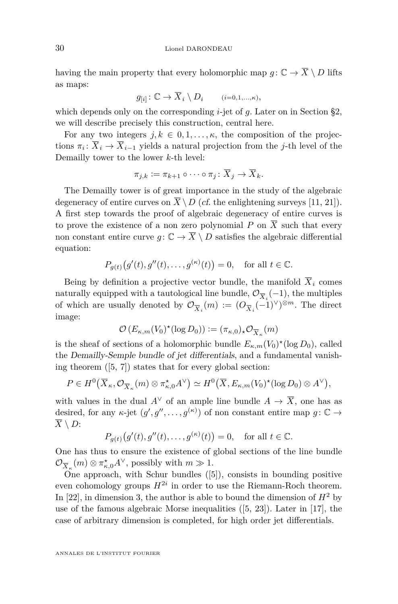having the main property that every holomorphic map  $g: \mathbb{C} \to \overline{X} \setminus D$  lifts as maps:

$$
g_{[i]} \colon \mathbb{C} \to \overline{X}_i \setminus D_i \qquad (i=0,1,\ldots,\kappa),
$$

which depends only on the corresponding *i*-jet of *g*. Later on in Section §2, we will describe precisely this construction, central here.

For any two integers  $j, k \in [0, 1, \ldots, \kappa]$ , the composition of the projections  $\pi_i: X_i \to X_{i-1}$  yields a natural projection from the *j*-th level of the Demailly tower to the lower *k*-th level:

$$
\pi_{j,k} := \pi_{k+1} \circ \cdots \circ \pi_j \colon \overline{X}_j \to \overline{X}_k.
$$

The Demailly tower is of great importance in the study of the algebraic degeneracy of entire curves on  $\overline{X} \setminus D$  (*cf.* the enlightening surveys [\[11,](#page-25-3) [21\]](#page-25-4)). A first step towards the proof of algebraic degeneracy of entire curves is to prove the existence of a non zero polynomial  $P$  on  $\overline{X}$  such that every non constant entire curve  $g: \mathbb{C} \to \overline{X} \setminus D$  satisfies the algebraic differential equation:

$$
P_{g(t)}\big(g'(t), g''(t), \ldots, g^{(\kappa)}(t)\big) = 0, \quad \text{for all } t \in \mathbb{C}.
$$

Being by definition a projective vector bundle, the manifold  $\overline{X}_i$  comes naturally equipped with a tautological line bundle,  $\mathcal{O}_{\overline{X}_i}(-1)$ , the multiples of which are usually denoted by  $\mathcal{O}_{\overline{X}_i}(m) := (O_{\overline{X}_i}(-1)^{\vee})^{\otimes m}$ . The direct image:

$$
\mathcal{O}\left(E_{\kappa,m}(V_0)^{\star}(\log D_0)\right) := (\pi_{\kappa,0})_{\star}\mathcal{O}_{\overline{X}_{\kappa}}(m)
$$

is the sheaf of sections of a holomorphic bundle  $E_{\kappa,m}(V_0)^*(\log D_0)$ , called the Demailly-Semple bundle of jet differentials, and a fundamental vanishing theorem  $([5, 7])$  $([5, 7])$  $([5, 7])$  $([5, 7])$  $([5, 7])$  states that for every global section:

$$
P \in H^{0}\big(\overline{X}_{\kappa}, \mathcal{O}_{\overline{X}_{\kappa}}(m) \otimes \pi_{\kappa,0}^{\star} A^{\vee}\big) \simeq H^{0}\big(\overline{X}, E_{\kappa,m}(V_{0})^{\star}(\log D_{0}) \otimes A^{\vee}\big),
$$

with values in the dual  $A^{\vee}$  of an ample line bundle  $A \to \overline{X}$ , one has as desired, for any  $\kappa$ -jet  $(g', g'', \ldots, g^{(\kappa)})$  of non constant entire map  $g: \mathbb{C} \to$  $\overline{X} \setminus D$ :

$$
P_{g(t)}(g'(t), g''(t),..., g^{(\kappa)}(t)) = 0
$$
, for all  $t \in \mathbb{C}$ .

One has thus to ensure the existence of global sections of the line bundle  $\mathcal{O}_{\overline{X}_\kappa}(m) \otimes \pi_{\kappa,0}^{\star} A^{\vee}$ , possibly with  $m \gg 1$ .

One approach, with Schur bundles  $([5])$  $([5])$  $([5])$ , consists in bounding positive even cohomology groups  $H^{2i}$  in order to use the Riemann-Roch theorem. In [\[22\]](#page-26-0), in dimension 3, the author is able to bound the dimension of  $H^2$  by use of the famous algebraic Morse inequalities ([\[5,](#page-25-1) [23\]](#page-26-1)). Later in [\[17\]](#page-25-5), the case of arbitrary dimension is completed, for high order jet differentials.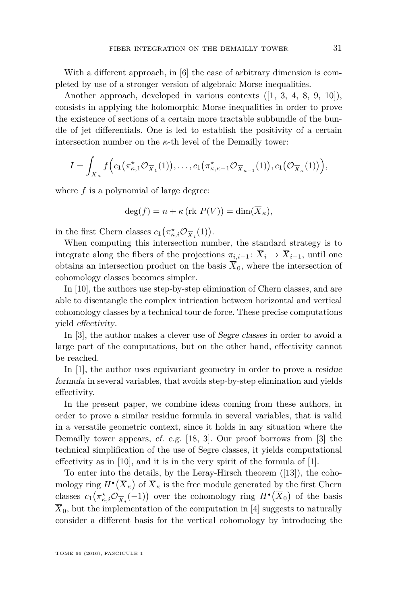With a different approach, in [\[6\]](#page-25-6) the case of arbitrary dimension is completed by use of a stronger version of algebraic Morse inequalities.

Another approach, developed in various contexts ([\[1,](#page-24-0) [3,](#page-24-1) [4,](#page-25-7) [8,](#page-25-8) [9,](#page-25-9) [10\]](#page-25-10)), consists in applying the holomorphic Morse inequalities in order to prove the existence of sections of a certain more tractable subbundle of the bundle of jet differentials. One is led to establish the positivity of a certain intersection number on the  $\kappa$ -th level of the Demailly tower:

$$
I = \int_{\overline{X}_{\kappa}} f\Big(c_1(\pi_{\kappa,1}^{\star} \mathcal{O}_{\overline{X}_1}(1)), \ldots, c_1(\pi_{\kappa,\kappa-1}^{\star} \mathcal{O}_{\overline{X}_{\kappa-1}}(1)), c_1(\mathcal{O}_{\overline{X}_{\kappa}}(1))\Big),
$$

where f is a polynomial of large degree:

$$
\deg(f) = n + \kappa (\text{rk } P(V)) = \dim(\overline{X}_{\kappa}),
$$

in the first Chern classes  $c_1(\pi_{\kappa,i}^* \mathcal{O}_{\overline{X}_i}(1)).$ 

When computing this intersection number, the standard strategy is to integrate along the fibers of the projections  $\pi_{i,i-1} : \overline{X}_i \to \overline{X}_{i-1}$ , until one obtains an intersection product on the basis  $\overline{X}_0$ , where the intersection of cohomology classes becomes simpler.

In [\[10\]](#page-25-10), the authors use step-by-step elimination of Chern classes, and are able to disentangle the complex intrication between horizontal and vertical cohomology classes by a technical tour de force. These precise computations yield effectivity.

In [\[3\]](#page-24-1), the author makes a clever use of Segre classes in order to avoid a large part of the computations, but on the other hand, effectivity cannot be reached.

In [\[1\]](#page-24-0), the author uses equivariant geometry in order to prove a residue formula in several variables, that avoids step-by-step elimination and yields effectivity.

In the present paper, we combine ideas coming from these authors, in order to prove a similar residue formula in several variables, that is valid in a versatile geometric context, since it holds in any situation where the Demailly tower appears, cf. e.g. [\[18,](#page-25-11) [3\]](#page-24-1). Our proof borrows from [\[3\]](#page-24-1) the technical simplification of the use of Segre classes, it yields computational effectivity as in [\[10\]](#page-25-10), and it is in the very spirit of the formula of [\[1\]](#page-24-0).

To enter into the details, by the Leray-Hirsch theorem ([\[13\]](#page-25-12)), the cohomology ring  $H^{\bullet}(\overline{X}_{\kappa})$  of  $\overline{X}_{\kappa}$  is the free module generated by the first Chern classes  $c_1(\pi_{\kappa,i}^* \mathcal{O}_{\overline{X}_i}(-1))$  over the cohomology ring  $H^{\bullet}(\overline{X}_0)$  of the basis  $\overline{X}_0$ , but the implementation of the computation in [\[4\]](#page-25-7) suggests to naturally consider a different basis for the vertical cohomology by introducing the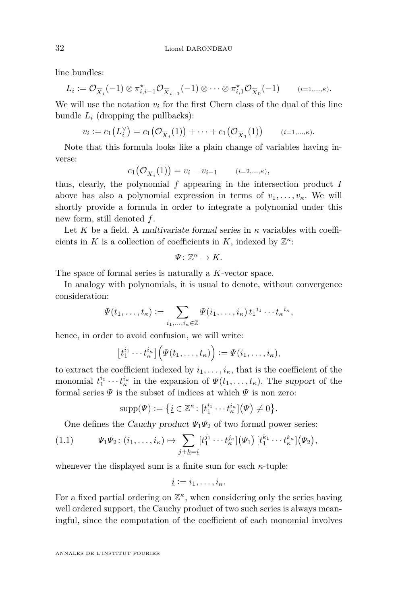line bundles:

$$
L_i := \mathcal{O}_{\overline{X}_i}(-1) \otimes \pi_{i,i-1}^{\star} \mathcal{O}_{\overline{X}_{i-1}}(-1) \otimes \cdots \otimes \pi_{i,1}^{\star} \mathcal{O}_{\overline{X}_0}(-1) \qquad (i=1,..., \kappa).
$$

We will use the notation  $v_i$  for the first Chern class of the dual of this line bundle  $L_i$  (dropping the pullbacks):

$$
v_i := c_1(L_i^{\vee}) = c_1(\mathcal{O}_{\overline{X}_i}(1)) + \cdots + c_1(\mathcal{O}_{\overline{X}_1}(1)) \qquad (i=1,..., \kappa).
$$

Note that this formula looks like a plain change of variables having inverse:

$$
c_1(\mathcal{O}_{\overline{X}_i}(1)) = v_i - v_{i-1} \qquad (i=2,...,k),
$$

thus, clearly, the polynomial *f* appearing in the intersection product *I* above has also a polynomial expression in terms of  $v_1, \ldots, v_{\kappa}$ . We will shortly provide a formula in order to integrate a polynomial under this new form, still denoted *f*.

Let K be a field. A multivariate formal series in  $\kappa$  variables with coefficients in *K* is a collection of coefficients in *K*, indexed by  $\mathbb{Z}^{\kappa}$ :

$$
\Psi\colon \mathbb{Z}^{\kappa}\to K.
$$

The space of formal series is naturally a *K*-vector space.

In analogy with polynomials, it is usual to denote, without convergence consideration:

$$
\Psi(t_1,\ldots,t_\kappa):=\sum_{i_1,\ldots,i_\kappa\in\mathbb{Z}}\Psi(i_1,\ldots,i_\kappa)\,t_1{}^{i_1}\cdots t_\kappa{}^{i_\kappa},
$$

hence, in order to avoid confusion, we will write:

$$
\left[t_1^{i_1}\cdots t_\kappa^{i_\kappa}\right]\left(\Psi(t_1,\ldots,t_\kappa)\right):=\Psi(i_1,\ldots,i_\kappa),
$$

to extract the coefficient indexed by  $i_1, \ldots, i_{\kappa}$ , that is the coefficient of the monomial  $t_1^{i_1} \cdots t_k^{i_k}$  in the expansion of  $\Psi(t_1, \ldots, t_k)$ . The support of the formal series  $\Psi$  is the subset of indices at which  $\Psi$  is non zero:

<span id="page-4-0"></span>
$$
supp(\Psi) := \{ \underline{i} \in \mathbb{Z}^{\kappa} \colon [t_1^{i_1} \cdots t_{\kappa}^{i_{\kappa}}] (\Psi) \neq 0 \}.
$$

One defines the *Cauchy product*  $\Psi_1\Psi_2$  of two formal power series:

$$
(1.1) \t\t \t\t \Psi_1 \Psi_2 : (i_1, \ldots, i_\kappa) \mapsto \sum_{\underline{j+k}=\underline{i}} [t_1^{j_1} \cdots t_\kappa^{j_\kappa}] (\Psi_1) [t_1^{k_1} \cdots t_\kappa^{k_\kappa}] (\Psi_2),
$$

whenever the displayed sum is a finite sum for each *κ*-tuple:

$$
\underline{i} := i_1, \ldots, i_{\kappa}.
$$

For a fixed partial ordering on  $\mathbb{Z}^{\kappa}$ , when considering only the series having well ordered support, the Cauchy product of two such series is always meaningful, since the computation of the coefficient of each monomial involves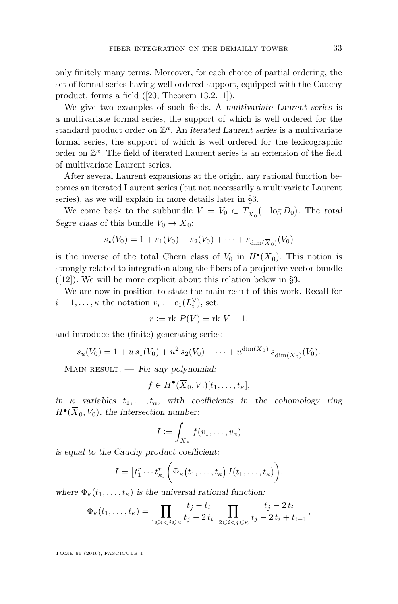only finitely many terms. Moreover, for each choice of partial ordering, the set of formal series having well ordered support, equipped with the Cauchy product, forms a field ([\[20,](#page-25-13) Theorem 13.2.11]).

We give two examples of such fields. A multivariate Laurent series is a multivariate formal series, the support of which is well ordered for the standard product order on  $\mathbb{Z}^{\kappa}$ . An *iterated Laurent series* is a multivariate formal series, the support of which is well ordered for the lexicographic order on  $\mathbb{Z}^{\kappa}$ . The field of iterated Laurent series is an extension of the field of multivariate Laurent series.

After several Laurent expansions at the origin, any rational function becomes an iterated Laurent series (but not necessarily a multivariate Laurent series), as we will explain in more details later in §3.

We come back to the subbundle  $V = V_0 \subset T_{\overline{X}_0}(-\log D_0)$ . The total Segre class of this bundle  $V_0 \rightarrow \overline{X}_0$ :

$$
s_{\bullet}(V_0) = 1 + s_1(V_0) + s_2(V_0) + \dots + s_{\dim(\overline{X}_0)}(V_0)
$$

is the inverse of the total Chern class of  $V_0$  in  $H^{\bullet}(X_0)$ . This notion is strongly related to integration along the fibers of a projective vector bundle  $([12])$  $([12])$  $([12])$ . We will be more explicit about this relation below in §3.

We are now in position to state the main result of this work. Recall for  $i = 1, \ldots, \kappa$  the notation  $v_i := c_1(L_i^{\vee})$ , set:

$$
r := \text{rk } P(V) = \text{rk } V - 1,
$$

and introduce the (finite) generating series:

$$
s_u(V_0) = 1 + u s_1(V_0) + u^2 s_2(V_0) + \cdots + u^{\dim(\overline{X}_0)} s_{\dim(\overline{X}_0)}(V_0).
$$

MAIN RESULT.  $-$  For any polynomial:

$$
f\in H^{\bullet}(\overline{X}_0,V_0)[t_1,\ldots,t_{\kappa}],
$$

in  $\kappa$  variables  $t_1, \ldots, t_\kappa$ , with coefficients in the cohomology ring  $H^{\bullet}(\overline{X}_0, V_0)$ , the intersection number:

$$
I := \int_{\overline{X}_{\kappa}} f(v_1, \ldots, v_{\kappa})
$$

is equal to the Cauchy product coefficient:

$$
I = [t_1^r \cdots t_{\kappa}^r] \bigg( \Phi_{\kappa} (t_1, \ldots, t_{\kappa}) I(t_1, \ldots, t_{\kappa}) \bigg),
$$

where  $\Phi_{\kappa}(t_1,\ldots,t_{\kappa})$  is the universal rational function:

$$
\Phi_{\kappa}(t_1,\ldots,t_{\kappa}) = \prod_{1 \leq i < j \leq \kappa} \frac{t_j - t_i}{t_j - 2t_i} \prod_{2 \leq i < j \leq \kappa} \frac{t_j - 2t_i}{t_j - 2t_i + t_{i-1}},
$$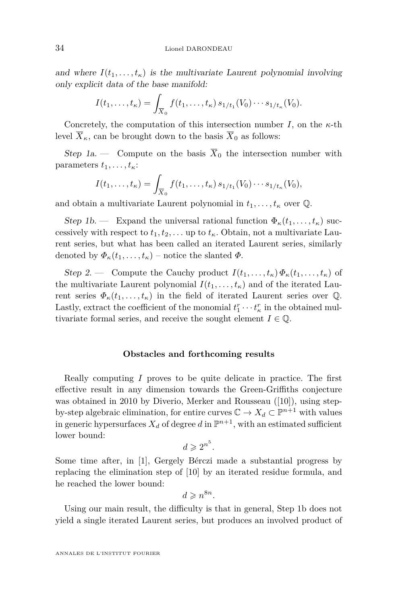and where  $I(t_1, \ldots, t_{\kappa})$  is the multivariate Laurent polynomial involving only explicit data of the base manifold:

$$
I(t_1,\ldots,t_\kappa)=\int_{\overline{X}_0}f(t_1,\ldots,t_\kappa)\,s_{1/t_1}(V_0)\cdots s_{1/t_\kappa}(V_0).
$$

Concretely, the computation of this intersection number  $I$ , on the  $\kappa$ -th level  $\overline{X}_{\kappa}$ , can be brought down to the basis  $\overline{X}_0$  as follows:

Step 1a. — Compute on the basis  $\overline{X}_0$  the intersection number with parameters  $t_1, \ldots, t_k$ :

$$
I(t_1,\ldots,t_\kappa)=\int_{\overline{X}_0}f(t_1,\ldots,t_\kappa)\,s_{1/t_1}(V_0)\cdots s_{1/t_\kappa}(V_0),
$$

and obtain a multivariate Laurent polynomial in  $t_1, \ldots, t_\kappa$  over  $\mathbb{Q}$ .

Step 1b. — Expand the universal rational function  $\Phi_{\kappa}(t_1, \ldots, t_{\kappa})$  successively with respect to  $t_1, t_2, \ldots$  up to  $t_{\kappa}$ . Obtain, not a multivariate Laurent series, but what has been called an iterated Laurent series, similarly denoted by  $\Phi_{\kappa}(t_1,\ldots,t_{\kappa})$  – notice the slanted  $\Phi$ .

Step 2. — Compute the Cauchy product  $I(t_1, \ldots, t_k) \Phi_k(t_1, \ldots, t_k)$  of the multivariate Laurent polynomial  $I(t_1, \ldots, t_k)$  and of the iterated Laurent series  $\Phi_{\kappa}(t_1,\ldots,t_{\kappa})$  in the field of iterated Laurent series over Q. Lastly, extract the coefficient of the monomial  $t_1^r \cdots t_k^r$  in the obtained multivariate formal series, and receive the sought element  $I \in \mathbb{Q}$ .

#### **Obstacles and forthcoming results**

Really computing *I* proves to be quite delicate in practice. The first effective result in any dimension towards the Green-Griffiths conjecture was obtained in 2010 by Diverio, Merker and Rousseau ([\[10\]](#page-25-10)), using stepby-step algebraic elimination, for entire curves  $\mathbb{C} \to X_d \subset \mathbb{P}^{n+1}$  with values in generic hypersurfaces  $X_d$  of degree  $d$  in  $\mathbb{P}^{n+1}$ , with an estimated sufficient lower bound:

$$
d\geqslant 2^{n^5}.
$$

Some time after, in [\[1\]](#page-24-0), Gergely Bérczi made a substantial progress by replacing the elimination step of [\[10\]](#page-25-10) by an iterated residue formula, and he reached the lower bound:

$$
d\geqslant n^{8n}.
$$

Using our main result, the difficulty is that in general, Step 1b does not yield a single iterated Laurent series, but produces an involved product of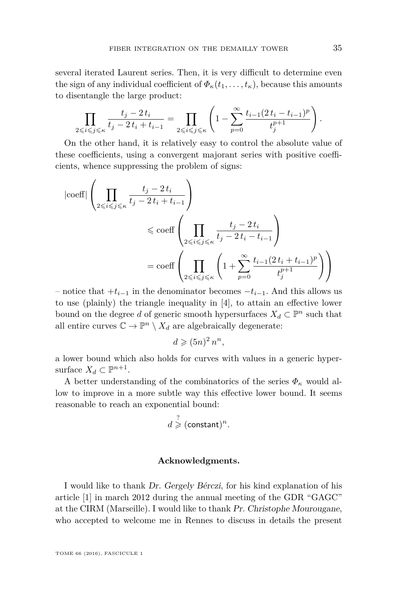several iterated Laurent series. Then, it is very difficult to determine even the sign of any individual coefficient of  $\Phi_{\kappa}(t_1,\ldots,t_{\kappa})$ , because this amounts to disentangle the large product:

$$
\prod_{2 \leq i \leq j \leq \kappa} \frac{t_j - 2t_i}{t_j - 2t_i + t_{i-1}} = \prod_{2 \leq i \leq j \leq \kappa} \left( 1 - \sum_{p=0}^{\infty} \frac{t_{i-1} (2t_i - t_{i-1})^p}{t_j^{p+1}} \right).
$$

On the other hand, it is relatively easy to control the absolute value of these coefficients, using a convergent majorant series with positive coefficients, whence suppressing the problem of signs:

$$
|\text{coeff}| \left( \prod_{2 \leq i \leq j \leq \kappa} \frac{t_j - 2t_i}{t_j - 2t_i + t_{i-1}} \right)
$$
  

$$
\leq \text{coeff} \left( \prod_{2 \leq i \leq j \leq \kappa} \frac{t_j - 2t_i}{t_j - 2t_i - t_{i-1}} \right)
$$
  

$$
= \text{coeff} \left( \prod_{2 \leq i \leq j \leq \kappa} \left( 1 + \sum_{p=0}^{\infty} \frac{t_{i-1} (2t_i + t_{i-1})^p}{t_j^{p+1}} \right) \right)
$$

– notice that +*ti*−<sup>1</sup> in the denominator becomes −*ti*−1. And this allows us to use (plainly) the triangle inequality in [\[4\]](#page-25-7), to attain an effective lower bound on the degree *d* of generic smooth hypersurfaces  $X_d \subset \mathbb{P}^n$  such that all entire curves  $\mathbb{C} \to \mathbb{P}^n \setminus X_d$  are algebraically degenerate:

$$
d \geqslant (5n)^2 n^n,
$$

a lower bound which also holds for curves with values in a generic hypersurface  $X_d \subset \mathbb{P}^{n+1}$ .

A better understanding of the combinatorics of the series  $\Phi_{\kappa}$  would allow to improve in a more subtle way this effective lower bound. It seems reasonable to reach an exponential bound:

$$
d \stackrel{?}{\geq} (\text{constant})^n.
$$

#### **Acknowledgments.**

I would like to thank Dr. Gergely Bérczi, for his kind explanation of his article [\[1\]](#page-24-0) in march 2012 during the annual meeting of the GDR "GAGC" at the CIRM (Marseille). I would like to thank Pr. Christophe Mourougane, who accepted to welcome me in Rennes to discuss in details the present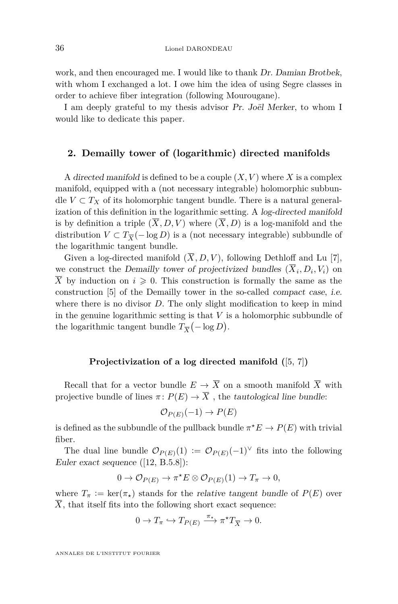work, and then encouraged me. I would like to thank Dr. Damian Brotbek, with whom I exchanged a lot. I owe him the idea of using Segre classes in order to achieve fiber integration (following Mourougane).

I am deeply grateful to my thesis advisor Pr. Joël Merker, to whom I would like to dedicate this paper.

#### **2. Demailly tower of (logarithmic) directed manifolds**

A directed manifold is defined to be a couple  $(X, V)$  where X is a complex manifold, equipped with a (not necessary integrable) holomorphic subbundle  $V \subset T_X$  of its holomorphic tangent bundle. There is a natural generalization of this definition in the logarithmic setting. A log-directed manifold is by definition a triple  $(\overline{X}, D, V)$  where  $(\overline{X}, D)$  is a log-manifold and the distribution  $V \subset T_{\overline{X}}(- \log D)$  is a (not necessary integrable) subbundle of the logarithmic tangent bundle.

Given a log-directed manifold  $(\overline{X}, D, V)$ , following Dethloff and Lu [\[7\]](#page-25-2), we construct the Demailly tower of projectivized bundles  $(X_i, D_i, V_i)$  on  $\overline{X}$  by induction on  $i \geq 0$ . This construction is formally the same as the construction [\[5\]](#page-25-1) of the Demailly tower in the so-called compact case, i.e. where there is no divisor *D*. The only slight modification to keep in mind in the genuine logarithmic setting is that *V* is a holomorphic subbundle of the logarithmic tangent bundle  $T_{\overline{X}}(-\log D)$ .

#### **Projectivization of a log directed manifold (**[\[5,](#page-25-1) [7\]](#page-25-2)**)**

Recall that for a vector bundle  $E \to \overline{X}$  on a smooth manifold  $\overline{X}$  with projective bundle of lines  $\pi \colon P(E) \to \overline{X}$ , the tautological line bundle:

$$
\mathcal{O}_{P(E)}(-1) \to P(E)
$$

is defined as the subbundle of the pullback bundle  $\pi^*E \to P(E)$  with trivial fiber.

The dual line bundle  $\mathcal{O}_{P(E)}(1) := \mathcal{O}_{P(E)}(-1)^{\vee}$  fits into the following Euler exact sequence ([\[12,](#page-25-14) B.5.8]):

$$
0 \to \mathcal{O}_{P(E)} \to \pi^{\star} E \otimes \mathcal{O}_{P(E)}(1) \to T_{\pi} \to 0,
$$

where  $T_{\pi} := \ker(\pi_{\star})$  stands for the relative tangent bundle of  $P(E)$  over  $\overline{X}$ , that itself fits into the following short exact sequence:

$$
0 \to T_{\pi} \hookrightarrow T_{P(E)} \xrightarrow{\pi_{\star}} \pi^{\star} T_{\overline{X}} \to 0.
$$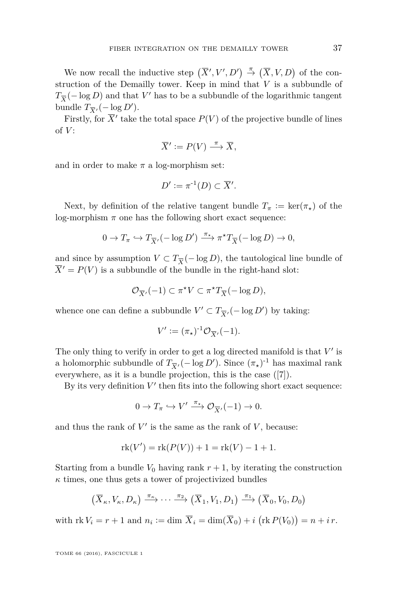We now recall the inductive step  $(\overline{X}', V', D') \stackrel{\pi}{\to} (\overline{X}, V, D)$  of the construction of the Demailly tower. Keep in mind that *V* is a subbundle of  $T_{\overline{X}}(-\log D)$  and that *V*<sup> $\prime$ </sup> has to be a subbundle of the logarithmic tangent bundle  $T_{\overline{X}}($  -  $\log D')$ .

Firstly, for  $\overline{X}'$  take the total space  $P(V)$  of the projective bundle of lines of *V* :

$$
\overline{X}' := P(V) \xrightarrow{\pi} \overline{X},
$$

and in order to make  $\pi$  a log-morphism set:

$$
D' := \pi^{-1}(D) \subset \overline{X}'.
$$

Next, by definition of the relative tangent bundle  $T_{\pi} := \ker(\pi_{\star})$  of the log-morphism  $\pi$  one has the following short exact sequence:

$$
0 \to T_{\pi} \hookrightarrow T_{\overline{X}'}(-\log D') \xrightarrow{\pi_{\star}} \pi^{\star} T_{\overline{X}}(-\log D) \to 0,
$$

and since by assumption  $V \subset T_{\overline{X}}(-\log D)$ , the tautological line bundle of  $\overline{X}^{\prime} = P(V)$  is a subbundle of the bundle in the right-hand slot:

$$
\mathcal{O}_{\overline{X}'}(-1) \subset \pi^{\star}V \subset \pi^{\star}T_{\overline{X}}(-\log D),
$$

whence one can define a subbundle  $V' \subset T_{\overline{X}'}(-\log D')$  by taking:

$$
V' := (\pi_\star)^{-1} \mathcal{O}_{\overline{X}'}(-1).
$$

The only thing to verify in order to get a log directed manifold is that  $V'$  is a holomorphic subbundle of  $T_{\overline{X}'}(-\log D')$ . Since  $(\pi_{\star})^{-1}$  has maximal rank everywhere, as it is a bundle projection, this is the case ([\[7\]](#page-25-2)).

By its very definition  $V'$  then fits into the following short exact sequence:

$$
0 \to T_{\pi} \hookrightarrow V' \xrightarrow{\pi_{\star}} \mathcal{O}_{\overline{X}'}(-1) \to 0.
$$

and thus the rank of  $V'$  is the same as the rank of  $V$ , because:

$$
rk(V') = rk(P(V)) + 1 = rk(V) - 1 + 1.
$$

Starting from a bundle  $V_0$  having rank  $r + 1$ , by iterating the construction  $\kappa$  times, one thus gets a tower of projectivized bundles

$$
(\overline{X}_{\kappa}, V_{\kappa}, D_{\kappa}) \xrightarrow{\pi_{\kappa}} \cdots \xrightarrow{\pi_2} (\overline{X}_1, V_1, D_1) \xrightarrow{\pi_1} (\overline{X}_0, V_0, D_0)
$$

with  $\text{rk } V_i = r + 1 \text{ and } n_i := \dim \overline{X}_i = \dim(\overline{X}_0) + i \left( \text{rk } P(V_0) \right) = n + i r.$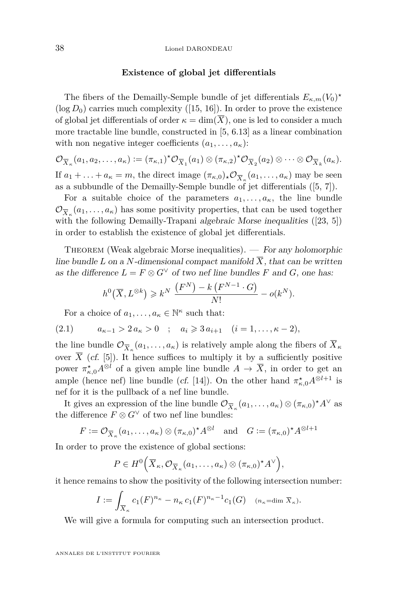#### **Existence of global jet differentials**

The fibers of the Demailly-Semple bundle of jet differentials  $E_{\kappa,m}(V_0)^*$  $(\log D_0)$  carries much complexity ([\[15,](#page-25-15) [16\]](#page-25-16)). In order to prove the existence of global jet differentials of order  $\kappa = \dim(\overline{X})$ , one is led to consider a much more tractable line bundle, constructed in [\[5,](#page-25-1) 6.13] as a linear combination with non negative integer coefficients  $(a_1, \ldots, a_k)$ :

$$
\mathcal{O}_{\overline{X}_\kappa}(a_1, a_2, \dots, a_\kappa) := (\pi_{\kappa, 1})^* \mathcal{O}_{\overline{X}_1}(a_1) \otimes (\pi_{\kappa, 2})^* \mathcal{O}_{\overline{X}_2}(a_2) \otimes \dots \otimes \mathcal{O}_{\overline{X}_k}(a_\kappa).
$$
  
If  $a \downarrow a \to \infty$  the direct image  $(\pi_{\kappa}) \mathcal{O}_{\kappa}(a, \kappa)$  may be seen.

If  $a_1 + \ldots + a_\kappa = m$ , the direct image  $(\pi_{\kappa,0})_* \mathcal{O}_{\overline{X}_\kappa}(a_1,\ldots,a_\kappa)$  may be seen as a subbundle of the Demailly-Semple bundle of jet differentials ([\[5,](#page-25-1) [7\]](#page-25-2)).

For a suitable choice of the parameters  $a_1, \ldots, a_\kappa$ , the line bundle  $\mathcal{O}_{\overline{X}_\kappa}(a_1,\ldots,a_\kappa)$  has some positivity properties, that can be used together with the following Demailly-Trapani algebraic Morse inequalities ([\[23,](#page-26-1) [5\]](#page-25-1)) in order to establish the existence of global jet differentials.

THEOREM (Weak algebraic Morse inequalities).  $-$  For any holomorphic line bundle *L* on a *N*-dimensional compact manifold  $\overline{X}$ , that can be written as the difference  $L = F \otimes G^{\vee}$  of two nef line bundles *F* and *G*, one has:

$$
h^{0}(\overline{X}, L^{\otimes k}) \geq k^{N} \frac{(F^{N}) - k (F^{N-1} \cdot G)}{N!} - o(k^{N}).
$$

<span id="page-10-0"></span>For a choice of  $a_1, \ldots, a_\kappa \in \mathbb{N}^\kappa$  such that:

$$
(2.1) \t a_{\kappa-1} > 2 a_{\kappa} > 0 \t ; \t a_i \geq 3 a_{i+1} \t (i = 1, ..., \kappa - 2),
$$

the line bundle  $\mathcal{O}_{\overline{X}_\kappa}(a_1,\ldots,a_\kappa)$  is relatively ample along the fibers of  $X_\kappa$ over  $\overline{X}$  (cf. [\[5\]](#page-25-1)). It hence suffices to multiply it by a sufficiently positive power  $\pi_{\kappa,0}^{\star}A^{\otimes l}$  of a given ample line bundle  $A \to \overline{X}$ , in order to get an ample (hence nef) line bundle (*cf.* [\[14\]](#page-25-17)). On the other hand  $\pi^*_{\kappa,0}A^{\otimes l+1}$  is nef for it is the pullback of a nef line bundle.

It gives an expression of the line bundle  $\mathcal{O}_{\overline{X}_\kappa}(a_1,\ldots,a_\kappa) \otimes (\pi_{\kappa,0})^*A^\vee$  as the difference  $F \otimes G^{\vee}$  of two nef line bundles:

$$
F := \mathcal{O}_{\overline{X}_{\kappa}}(a_1, \dots, a_{\kappa}) \otimes (\pi_{\kappa, 0})^{\star} A^{\otimes l} \quad \text{and} \quad G := (\pi_{\kappa, 0})^{\star} A^{\otimes l+1}
$$

In order to prove the existence of global sections:

$$
P \in H^{0}\Big(\overline{X}_{\kappa}, \mathcal{O}_{\overline{X}_{\kappa}}(a_{1}, \ldots, a_{\kappa}) \otimes (\pi_{\kappa, 0})^{\star} A^{\vee}\Big),
$$

it hence remains to show the positivity of the following intersection number:

$$
I := \int_{\overline{X}_{\kappa}} c_1(F)^{n_{\kappa}} - n_{\kappa} c_1(F)^{n_{\kappa}-1} c_1(G) \quad (n_{\kappa} = \dim \overline{X}_{\kappa}).
$$

We will give a formula for computing such an intersection product.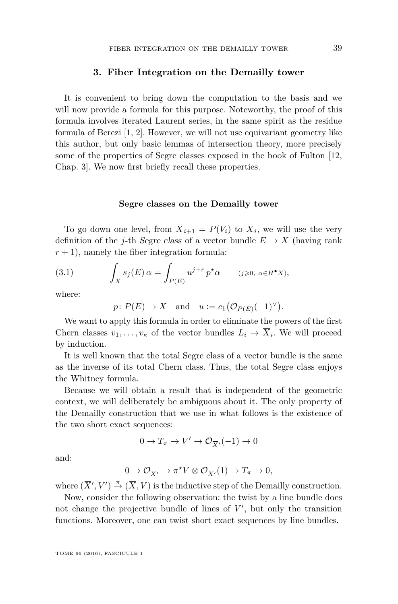#### **3. Fiber Integration on the Demailly tower**

It is convenient to bring down the computation to the basis and we will now provide a formula for this purpose. Noteworthy, the proof of this formula involves iterated Laurent series, in the same spirit as the residue formula of Berczi [\[1,](#page-24-0) [2\]](#page-24-2). However, we will not use equivariant geometry like this author, but only basic lemmas of intersection theory, more precisely some of the properties of Segre classes exposed in the book of Fulton [\[12,](#page-25-14) Chap. 3]. We now first briefly recall these properties.

#### **Segre classes on the Demailly tower**

To go down one level, from  $X_{i+1} = P(V_i)$  to  $X_i$ , we will use the very definition of the *j*-th Segre class of a vector bundle  $E \to X$  (having rank  $r + 1$ , namely the fiber integration formula:

(3.1) 
$$
\int_X s_j(E) \alpha = \int_{P(E)} u^{j+r} p^* \alpha \qquad (j \geq 0, \ \alpha \in H^{\bullet}X),
$$

where:

<span id="page-11-0"></span>
$$
p: P(E) \to X
$$
 and  $u := c_1(\mathcal{O}_{P(E)}(-1)^{\vee}).$ 

We want to apply this formula in order to eliminate the powers of the first Chern classes  $v_1, \ldots, v_\kappa$  of the vector bundles  $L_i \to X_i$ . We will proceed by induction.

It is well known that the total Segre class of a vector bundle is the same as the inverse of its total Chern class. Thus, the total Segre class enjoys the Whitney formula.

Because we will obtain a result that is independent of the geometric context, we will deliberately be ambiguous about it. The only property of the Demailly construction that we use in what follows is the existence of the two short exact sequences:

$$
0 \to T_{\pi} \to V' \to \mathcal{O}_{\overline{X}'}(-1) \to 0
$$

and:

$$
0 \to \mathcal{O}_{\overline{X}'} \to \pi^* V \otimes \mathcal{O}_{\overline{X}'}(1) \to T_{\pi} \to 0,
$$

where  $(\overline{X}', V') \stackrel{\pi}{\rightarrow} (\overline{X}, V)$  is the inductive step of the Demailly construction.

Now, consider the following observation: the twist by a line bundle does not change the projective bundle of lines of  $V'$ , but only the transition functions. Moreover, one can twist short exact sequences by line bundles.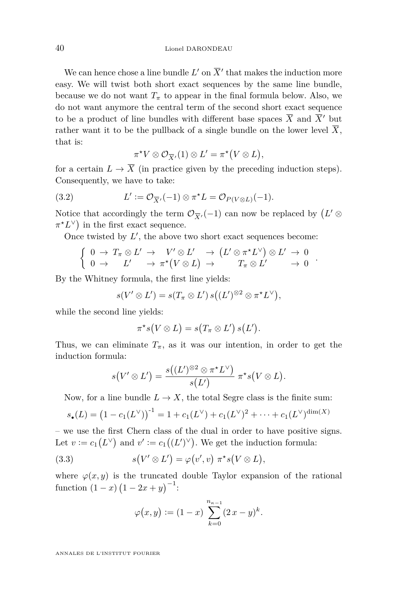We can hence chose a line bundle  $L'$  on  $\overline{X}'$  that makes the induction more easy. We will twist both short exact sequences by the same line bundle, because we do not want  $T_{\pi}$  to appear in the final formula below. Also, we do not want anymore the central term of the second short exact sequence to be a product of line bundles with different base spaces  $\overline{X}$  and  $\overline{X}$ <sup>0</sup> but rather want it to be the pullback of a single bundle on the lower level  $\overline{X}$ , that is:

<span id="page-12-0"></span>
$$
\pi^{\star}V \otimes \mathcal{O}_{\overline{X}'}(1) \otimes L' = \pi^{\star}(V \otimes L),
$$

for a certain  $L \to \overline{X}$  (in practice given by the preceding induction steps). Consequently, we have to take:

(3.2) 
$$
L' := \mathcal{O}_{\overline{X}'}(-1) \otimes \pi^* L = \mathcal{O}_{P(V \otimes L)}(-1).
$$

Notice that accordingly the term  $\mathcal{O}_{\overline{X}'}(-1)$  can now be replaced by  $(L' \otimes$  $\pi^* L^{\vee}$  in the first exact sequence.

Once twisted by  $L'$ , the above two short exact sequences become:

$$
\left\{ \begin{array}{lll} 0 \to T_{\pi} \otimes L' \to V' \otimes L' \to (L' \otimes \pi^* L^{\vee}) \otimes L' \to 0 \\ 0 \to L' \to \pi^*(V \otimes L) \to T_{\pi} \otimes L' \to 0 \end{array} \right.
$$

*.*

By the Whitney formula, the first line yields:

$$
s(V' \otimes L') = s(T_{\pi} \otimes L') s((L')^{\otimes 2} \otimes \pi^* L^{\vee}),
$$

while the second line yields:

$$
\pi^*s(V\otimes L)=s(T_{\pi}\otimes L')s(L').
$$

Thus, we can eliminate  $T_{\pi}$ , as it was our intention, in order to get the induction formula:

$$
s\big(V'\otimes L'\big)=\frac{s\big((L')^{\otimes 2}\otimes \pi^{\star}L^{\vee}\big)}{s(L')}\ \pi^{\star}s\big(V\otimes L\big).
$$

Now, for a line bundle  $L \to X$ , the total Segre class is the finite sum:

$$
s_{\bullet}(L) = (1 - c_1(L^{\vee}))^{-1} = 1 + c_1(L^{\vee}) + c_1(L^{\vee})^2 + \dots + c_1(L^{\vee})^{\dim(X)}
$$

– we use the first Chern class of the dual in order to have positive signs. Let  $v := c_1(L^{\vee})$  and  $v' := c_1((L')^{\vee})$ . We get the induction formula:

(3.3) 
$$
s(V' \otimes L') = \varphi(v', v) \pi^* s(V \otimes L),
$$

where  $\varphi(x, y)$  is the truncated double Taylor expansion of the rational function  $(1-x)(1-2x+y)^{-1}$ :

<span id="page-12-1"></span>
$$
\varphi(x,y) := (1-x) \sum_{k=0}^{n_{\kappa-1}} (2x - y)^k.
$$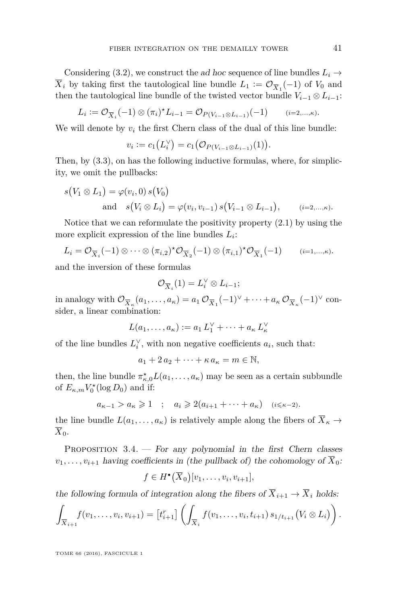Considering [\(3.2\)](#page-12-0), we construct the ad hoc sequence of line bundles  $L_i \rightarrow$  $X_i$  by taking first the tautological line bundle  $L_1 := \mathcal{O}_{\overline{X}_1}(-1)$  of  $V_0$  and then the tautological line bundle of the twisted vector bundle  $V_{i-1} \otimes L_{i-1}$ :

$$
L_i := \mathcal{O}_{\overline{X}_i}(-1) \otimes (\pi_i)^* L_{i-1} = \mathcal{O}_{P(V_{i-1} \otimes L_{i-1})}(-1) \qquad (i=2,...,k).
$$

We will denote by  $v_i$  the first Chern class of the dual of this line bundle:

$$
v_i := c_1(L_i^{\vee}) = c_1(\mathcal{O}_{P(V_{i-1} \otimes L_{i-1})}(1)).
$$

Then, by [\(3.3\)](#page-12-1), on has the following inductive formulas, where, for simplicity, we omit the pullbacks:

$$
s(V_1 \otimes L_1) = \varphi(v_i, 0) s(V_0)
$$
  
and 
$$
s(V_i \otimes L_i) = \varphi(v_i, v_{i-1}) s(V_{i-1} \otimes L_{i-1}), \qquad (i=2,...,k).
$$

Notice that we can reformulate the positivity property  $(2.1)$  by using the more explicit expression of the line bundles *L<sup>i</sup>* :

$$
L_i = \mathcal{O}_{\overline{X}_i}(-1) \otimes \cdots \otimes (\pi_{i,2})^{\star} \mathcal{O}_{\overline{X}_2}(-1) \otimes (\pi_{i,1})^{\star} \mathcal{O}_{\overline{X}_1}(-1) \qquad (i=1,\ldots,\kappa).
$$

and the inversion of these formulas

$$
\mathcal{O}_{\overline{X}_i}(1) = L_i^{\vee} \otimes L_{i-1};
$$

in analogy with  $\mathcal{O}_{\overline{X}_\kappa}(a_1,\ldots,a_\kappa) = a_1 \mathcal{O}_{\overline{X}_1}(-1)^\vee + \cdots + a_\kappa \mathcal{O}_{\overline{X}_\kappa}(-1)^\vee$  consider, a linear combination:

$$
L(a_1,\ldots,a_\kappa):=a_1 L_1^\vee+\cdots+a_\kappa L_\kappa^\vee
$$

of the line bundles  $L_i^{\vee}$ , with non negative coefficients  $a_i$ , such that:

 $a_1 + 2a_2 + \cdots + \kappa a_{\kappa} = m \in \mathbb{N}$ ,

then, the line bundle  $\pi_{\kappa,0}^{\star}L(a_1,\ldots,a_{\kappa})$  may be seen as a certain subbundle of  $E_{\kappa,m} V_0^*$  (log  $D_0$ ) and if:

$$
a_{\kappa-1} > a_{\kappa} \geqslant 1 \quad ; \quad a_i \geqslant 2(a_{i+1} + \dots + a_{\kappa}) \quad (i \leqslant \kappa - 2).
$$

the line bundle  $L(a_1, \ldots, a_\kappa)$  is relatively ample along the fibers of  $\overline{X}_\kappa \to$  $\overline{X}_0$ .

<span id="page-13-0"></span>PROPOSITION 3.4. — For any polynomial in the first Chern classes  $v_1, \ldots, v_{i+1}$  having coefficients in (the pullback of) the cohomology of  $\overline{X}_0$ :

$$
f\in H^{\bullet}(\overline{X}_0)[v_1,\ldots,v_i,v_{i+1}],
$$

the following formula of integration along the fibers of  $\overline{X}_{i+1} \to \overline{X}_i$  holds:

$$
\int_{\overline{X}_{i+1}} f(v_1,\ldots,v_i,v_{i+1}) = \left[t_{i+1}^r\right] \left(\int_{\overline{X}_i} f(v_1,\ldots,v_i,t_{i+1}) s_{1/t_{i+1}}(V_i \otimes L_i)\right).
$$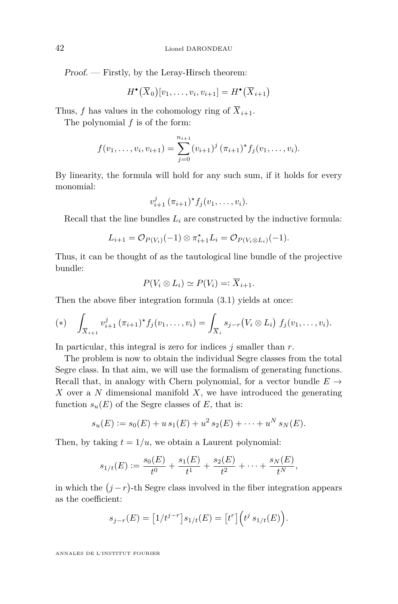Proof. — Firstly, by the Leray-Hirsch theorem:

$$
H^{\bullet}\big(\overline{X}_{0}\big)[v_1,\ldots,v_i,v_{i+1}] = H^{\bullet}\big(\overline{X}_{i+1}\big)
$$

Thus, *f* has values in the cohomology ring of  $\overline{X}_{i+1}$ .

The polynomial *f* is of the form:

$$
f(v_1,\ldots,v_i,v_{i+1})=\sum_{j=0}^{n_{i+1}}(v_{i+1})^j(\pi_{i+1})^*f_j(v_1,\ldots,v_i).
$$

By linearity, the formula will hold for any such sum, if it holds for every monomial:

$$
v_{i+1}^j (\pi_{i+1})^* f_j(v_1,\ldots,v_i).
$$

Recall that the line bundles  $L_i$  are constructed by the inductive formula:

$$
L_{i+1} = \mathcal{O}_{P(V_i)}(-1) \otimes \pi_{i+1}^{\star} L_i = \mathcal{O}_{P(V_i \otimes L_i)}(-1).
$$

Thus, it can be thought of as the tautological line bundle of the projective bundle:

$$
P(V_i \otimes L_i) \simeq P(V_i) =: \overline{X}_{i+1}.
$$

Then the above fiber integration formula [\(3.1\)](#page-11-0) yields at once:

<span id="page-14-0"></span>(\*) 
$$
\int_{\overline{X}_{i+1}} v_{i+1}^j (\pi_{i+1})^* f_j(v_1,\ldots,v_i) = \int_{\overline{X}_i} s_{j-r}(V_i \otimes L_i) f_j(v_1,\ldots,v_i).
$$

In particular, this integral is zero for indices *j* smaller than *r*.

The problem is now to obtain the individual Segre classes from the total Segre class. In that aim, we will use the formalism of generating functions. Recall that, in analogy with Chern polynomial, for a vector bundle  $E \rightarrow$ *X* over a *N* dimensional manifold *X*, we have introduced the generating function  $s_u(E)$  of the Segre classes of *E*, that is:

$$
s_u(E) := s_0(E) + u s_1(E) + u^2 s_2(E) + \cdots + u^N s_N(E).
$$

Then, by taking  $t = 1/u$ , we obtain a Laurent polynomial:

$$
s_{1/t}(E) := \frac{s_0(E)}{t^0} + \frac{s_1(E)}{t^1} + \frac{s_2(E)}{t^2} + \dots + \frac{s_N(E)}{t^N},
$$

in which the  $(j - r)$ -th Segre class involved in the fiber integration appears as the coefficient:

$$
s_{j-r}(E) = [1/t^{j-r}]s_{1/t}(E) = [t^r] (t^j s_{1/t}(E)).
$$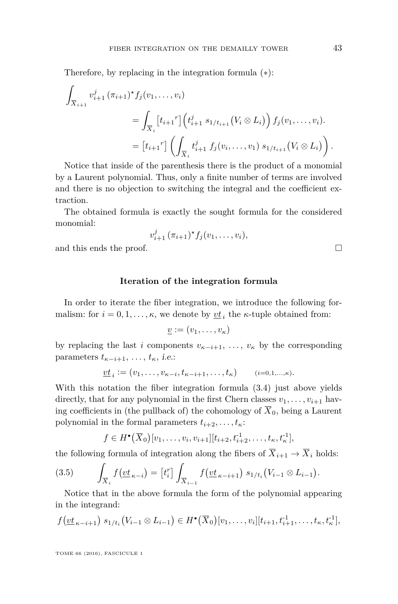Therefore, by replacing in the integration formula ([∗](#page-14-0)):

$$
\int_{\overline{X}_{i+1}} v_{i+1}^j (\pi_{i+1})^* f_j(v_1, \dots, v_i)
$$
\n
$$
= \int_{\overline{X}_i} \left[ t_{i+1}^r \right] \left( t_{i+1}^j s_{1/t_{i+1}} (V_i \otimes L_i) \right) f_j(v_1, \dots, v_i).
$$
\n
$$
= \left[ t_{i+1}^r \right] \left( \int_{\overline{X}_i} t_{i+1}^j f_j(v_i, \dots, v_1) s_{1/t_{i+1}} (V_i \otimes L_i) \right).
$$

Notice that inside of the parenthesis there is the product of a monomial by a Laurent polynomial. Thus, only a finite number of terms are involved and there is no objection to switching the integral and the coefficient extraction.

The obtained formula is exactly the sought formula for the considered monomial:

$$
v_{i+1}^j(\pi_{i+1})^*f_j(v_1,\ldots,v_i),
$$

and this ends the proof.

#### **Iteration of the integration formula**

In order to iterate the fiber integration, we introduce the following formalism: for  $i = 0, 1, \ldots, \kappa$ , we denote by  $\underline{vt}_i$  the  $\kappa$ -tuple obtained from:

$$
\underline{v} := (v_1, \ldots, v_\kappa)
$$

by replacing the last *i* components  $v_{\kappa-i+1}, \ldots, v_{\kappa}$  by the corresponding parameters  $t_{\kappa-i+1}, \ldots, t_{\kappa}$ , *i.e.*:

$$
\underline{vt}_i := (v_1, \ldots, v_{\kappa - i}, t_{\kappa - i + 1}, \ldots, t_\kappa) \qquad (i = 0, 1, \ldots, \kappa).
$$

With this notation the fiber integration formula [\(3.4\)](#page-13-0) just above yields directly, that for any polynomial in the first Chern classes  $v_1, \ldots, v_{i+1}$  having coefficients in (the pullback of) the cohomology of  $\overline{X}_0$ , being a Laurent polynomial in the formal parameters  $t_{i+2}, \ldots, t_{\kappa}$ :

<span id="page-15-0"></span>
$$
f \in H^{\bullet}(\overline{X}_{0})[v_{1},...,v_{i},v_{i+1}][t_{i+2},t_{i+2}^{1},...,t_{\kappa},t_{\kappa}^{1}],
$$

the following formula of integration along the fibers of  $\overline{X}_{i+1} \to \overline{X}_i$  holds:

$$
(3.5) \qquad \int_{\overline{X}_i} f(v t_{\kappa - i}) = [t_i^r] \int_{\overline{X}_{i-1}} f(v t_{\kappa - i+1}) s_{1/t_i} (V_{i-1} \otimes L_{i-1}).
$$

Notice that in the above formula the form of the polynomial appearing in the integrand:

$$
f(\underline{vt}_{\kappa-i+1}) s_{1/t_i} (V_{i-1} \otimes L_{i-1}) \in H^{\bullet}(\overline{X}_0)[v_1,\ldots,v_i][t_{i+1},t_{i+1}^{-1},\ldots,t_{\kappa},t_{\kappa}^{-1}],
$$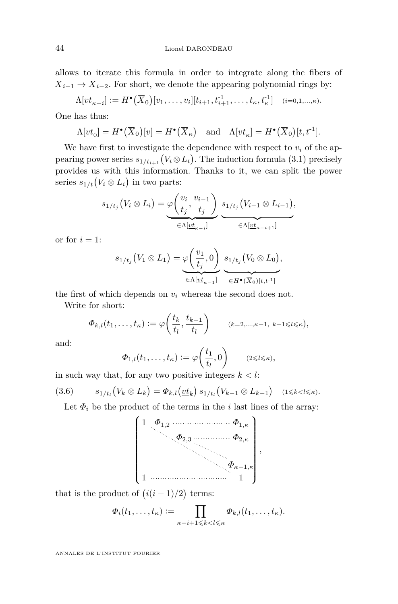allows to iterate this formula in order to integrate along the fibers of  $\overline{X}_{i-1} \rightarrow \overline{X}_{i-2}$ . For short, we denote the appearing polynomial rings by:

$$
\Lambda[\underline{vt}_{\kappa-i}] := H^{\bullet}(\overline{X}_0)[v_1,\ldots,v_i][t_{i+1},t_{i+1}^{-1},\ldots,t_{\kappa},t_{\kappa}^{-1}] \quad (i=0,1,\ldots,\kappa).
$$

One has thus:

$$
\Lambda[\underline{vt}_0] = H^{\bullet}(\overline{X}_0)[\underline{v}] = H^{\bullet}(\overline{X}_{\kappa}) \quad \text{and} \quad \Lambda[\underline{vt}_{\kappa}] = H^{\bullet}(\overline{X}_0)[\underline{t}, \underline{t}^{-1}].
$$

We have first to investigate the dependence with respect to  $v_i$  of the appearing power series  $s_{1/t_{i+1}}(V_i \otimes L_i)$ . The induction formula [\(3.1\)](#page-11-0) precisely provides us with this information. Thanks to it, we can split the power series  $s_{1/t}(V_i \otimes L_i)$  in two parts:

$$
s_{1/t_j}(V_i \otimes L_i) = \underbrace{\varphi\left(\frac{v_i}{t_j}, \frac{v_{i-1}}{t_j}\right)}_{\in \Lambda[\underline{vt}_{\kappa-i}]} \underbrace{s_{1/t_j}(V_{i-1} \otimes L_{i-1})}_{\in \Lambda[\underline{vt}_{\kappa-i+1}]},
$$

or for  $i = 1$ :

$$
s_{1/t_j}(V_1 \otimes L_1) = \underbrace{\varphi\left(\frac{v_1}{t_j}, 0\right)}_{\in \Lambda[\underline{vt}_{\kappa-1}]} \underbrace{s_{1/t_j}(V_0 \otimes L_0)}_{\in H^{\bullet}(\overline{X}_0)[\underline{t}, \underline{t}^1]}.
$$

the first of which depends on  $v_i$  whereas the second does not.

Write for short:

$$
\Phi_{k,l}(t_1,\ldots,t_\kappa):=\varphi\bigg(\frac{t_k}{t_l},\frac{t_{k-1}}{t_l}\bigg)\qquad(k=2,\ldots,\kappa-1,\ k+1\leq l\leqslant\kappa),
$$

and:

$$
\Phi_{1,l}(t_1,\ldots,t_\kappa):=\varphi\bigg(\frac{t_1}{t_l},0\bigg)\qquad(2\leq l\leqslant\kappa),
$$

in such way that, for any two positive integers  $k < l$ :

$$
(3.6) \t s_{1/t_l}(V_k \otimes L_k) = \Phi_{k,l}(\underline{vt}_k) s_{1/t_l}(V_{k-1} \otimes L_{k-1}) \t (1 \le k < l \le \kappa).
$$

Let  $\Phi_i$  be the product of the terms in the *i* last lines of the array:



that is the product of  $(i(i-1)/2)$  terms:

$$
\Phi_i(t_1,\ldots,t_\kappa) := \prod_{\kappa-i+1 \leqslant k < l \leqslant \kappa} \Phi_{k,l}(t_1,\ldots,t_\kappa).
$$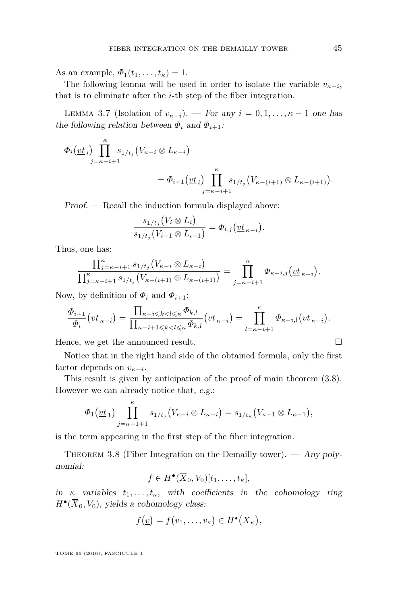As an example,  $\Phi_1(t_1, ..., t_{\kappa}) = 1$ .

The following lemma will be used in order to isolate the variable  $v_{\kappa-i}$ , that is to eliminate after the *i*-th step of the fiber integration.

<span id="page-17-1"></span>LEMMA 3.7 (Isolation of  $v_{\kappa-i}$ ). — For any  $i = 0, 1, \ldots, \kappa - 1$  one has the following relation between  $\Phi_i$  and  $\Phi_{i+1}$ :

$$
\Phi_i(\underline{vt}_i) \prod_{j=\kappa-i+1}^{\kappa} s_{1/t_j} (V_{\kappa-i} \otimes L_{\kappa-i})
$$
  
= 
$$
\Phi_{i+1}(\underline{vt}_i) \prod_{j=\kappa-i+1}^{\kappa} s_{1/t_j} (V_{\kappa-(i+1)} \otimes L_{\kappa-(i+1)}).
$$

Proof. — Recall the induction formula displayed above:

$$
\frac{s_{1/t_j}(V_i \otimes L_i)}{s_{1/t_j}(V_{i-1} \otimes L_{i-1})} = \Phi_{i,j}(\underline{vt}_{\kappa-i}).
$$

Thus, one has:

$$
\frac{\prod_{j=\kappa-i+1}^{\kappa} s_{1/t_j} (V_{\kappa-i} \otimes L_{\kappa-i})}{\prod_{j=\kappa-i+1}^{\kappa} s_{1/t_j} (V_{\kappa-(i+1)} \otimes L_{\kappa-(i+1)})} = \prod_{j=\kappa-i+1}^{\kappa} \Phi_{\kappa-i,j} (\underline{vt}_{\kappa-i}).
$$

Now, by definition of  $\Phi_i$  and  $\Phi_{i+1}$ :

$$
\frac{\Phi_{i+1}}{\Phi_i}\left(\underline{v}\underline{t}_{\kappa-i}\right)=\frac{\prod_{\kappa-i\leqslant k
$$

Hence, we get the announced result.

Notice that in the right hand side of the obtained formula, only the first factor depends on  $v_{\kappa-i}$ .

This result is given by anticipation of the proof of main theorem [\(3.8\)](#page-17-0). However we can already notice that, e.g.:

$$
\Phi_1(\underline{vt}_1)\prod_{j=\kappa-1+1}^{\kappa} s_{1/t_j}(V_{\kappa-i}\otimes L_{\kappa-i})=s_{1/t_\kappa}(V_{\kappa-1}\otimes L_{\kappa-1}),
$$

is the term appearing in the first step of the fiber integration.

<span id="page-17-0"></span>THEOREM 3.8 (Fiber Integration on the Demailly tower). — Any polynomial:

$$
f \in H^{\bullet}(\overline{X}_0, V_0)[t_1, \ldots, t_{\kappa}],
$$

in  $\kappa$  variables  $t_1, \ldots, t_\kappa$ , with coefficients in the cohomology ring  $H^{\bullet}(\overline{X}_0, V_0)$ , yields a cohomology class:

$$
f(\underline{v})=f(v_1,\ldots,v_\kappa)\in H^\bullet(\overline{X}_\kappa),
$$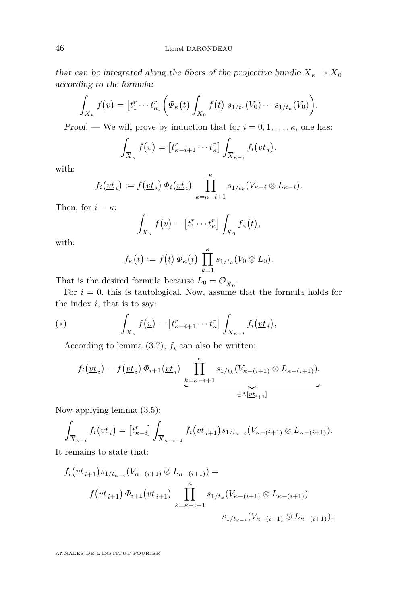that can be integrated along the fibers of the projective bundle  $\overline{X}_{\kappa}\rightarrow \overline{X}_{0}$ according to the formula:

$$
\int_{\overline{X}_{\kappa}} f(\underline{v}) = [t_1^r \cdots t_{\kappa}^r] \bigg( \Phi_{\kappa}(\underline{t}) \int_{\overline{X}_0} f(\underline{t}) s_{1/t_1}(V_0) \cdots s_{1/t_{\kappa}}(V_0) \bigg).
$$

Proof. — We will prove by induction that for  $i = 0, 1, \ldots, \kappa$ , one has:

$$
\int_{\overline{X}_{\kappa}} f(\underline{v}) = \left[ t_{\kappa - i + 1}^r \cdots t_{\kappa}^r \right] \int_{\overline{X}_{\kappa - i}} f_i(\underline{v} \underline{t}_i),
$$

with:

$$
f_i(\underline{vt}_i) := f(\underline{vt}_i) \Phi_i(\underline{vt}_i) \prod_{k=\kappa-i+1}^{\kappa} s_{1/t_k}(V_{\kappa-i} \otimes L_{\kappa-i}).
$$

Then, for  $i = \kappa$ :

$$
\int_{\overline{X}_{\kappa}} f(\underline{v}) = [t_1^r \cdots t_{\kappa}^r] \int_{\overline{X}_0} f_{\kappa}(\underline{t}),
$$

with:

$$
f_{\kappa}(\underline{t}) := f(\underline{t}) \Phi_{\kappa}(\underline{t}) \prod_{k=1}^{\kappa} s_{1/t_k} (V_0 \otimes L_0).
$$

That is the desired formula because  $L_0 = \mathcal{O}_{\overline{X}_0}$ .

For  $i = 0$ , this is tautological. Now, assume that the formula holds for the index *i*, that is to say:

(\*) 
$$
\int_{\overline{X}_{\kappa}} f(\underline{v}) = [t_{\kappa-i+1}^r \cdots t_{\kappa}^r] \int_{\overline{X}_{\kappa-i}} f_i(\underline{v}t_i),
$$

According to lemma  $(3.7)$ ,  $f_i$  can also be written:

$$
f_i(\underline{vt}_i) = f(\underline{vt}_i) \Phi_{i+1}(\underline{vt}_i) \prod_{\substack{k=\kappa-i+1}}^{\kappa} s_{1/t_k}(V_{\kappa-(i+1)} \otimes L_{\kappa-(i+1)}).
$$

Now applying lemma [\(3.5\)](#page-15-0):

$$
\int_{\overline{X}_{\kappa-i}} f_i(\underline{vt}_i) = [t_{\kappa-i}^r] \int_{\overline{X}_{\kappa-i-1}} f_i(\underline{vt}_{i+1}) s_{1/t_{\kappa-i}}(V_{\kappa-(i+1)} \otimes L_{\kappa-(i+1)}).
$$

It remains to state that:

$$
f_i(\underbrace{vt}_{i+1}) s_{1/t_{\kappa-i}}(V_{\kappa-(i+1)} \otimes L_{\kappa-(i+1)}) =
$$
  
\n
$$
f(\underbrace{vt}_{i+1}) \Phi_{i+1}(\underbrace{vt}_{i+1}) \prod_{k=\kappa-i+1}^{\kappa} s_{1/t_k}(V_{\kappa-(i+1)} \otimes L_{\kappa-(i+1)})
$$
  
\n
$$
s_{1/t_{\kappa-i}}(V_{\kappa-(i+1)} \otimes L_{\kappa-(i+1)})
$$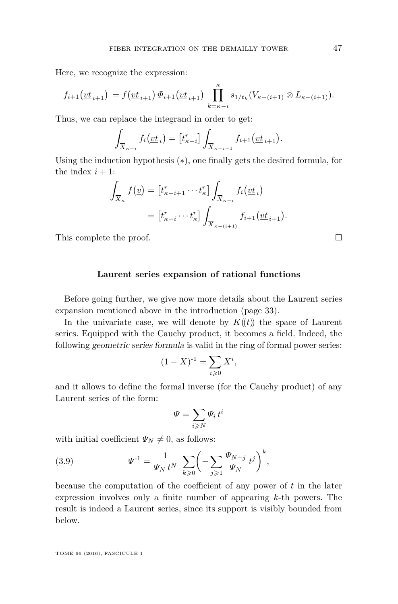Here, we recognize the expression:

$$
f_{i+1}(\underline{vt}_{i+1}) = f(\underline{vt}_{i+1}) \Phi_{i+1}(\underline{vt}_{i+1}) \prod_{k=\kappa-i}^{\kappa} s_{1/t_k}(V_{\kappa-(i+1)} \otimes L_{\kappa-(i+1)}).
$$

Thus, we can replace the integrand in order to get:

$$
\int_{\overline{X}_{\kappa-i}} f_i(\underline{vt}_i) = \left[t_{\kappa-i}^r\right] \int_{\overline{X}_{\kappa-i-1}} f_{i+1}(\underline{vt}_{i+1}).
$$

Using the induction hypothesis (∗), one finally gets the desired formula, for the index  $i + 1$ :

$$
\int_{\overline{X}_{\kappa}} f(\underline{v}) = \left[ t_{\kappa-i+1}^r \cdots t_{\kappa}^r \right] \int_{\overline{X}_{\kappa-i}} f_i(\underline{v} \underline{t}_i)
$$
\n
$$
= \left[ t_{\kappa-i}^r \cdots t_{\kappa}^r \right] \int_{\overline{X}_{\kappa-(i+1)}} f_{i+1}(\underline{v} \underline{t}_{i+1}).
$$

This complete the proof.

#### **Laurent series expansion of rational functions**

Before going further, we give now more details about the Laurent series expansion mentioned above in the introduction (page [33\)](#page-4-0).

In the univariate case, we will denote by  $K(\ell)$  the space of Laurent series. Equipped with the Cauchy product, it becomes a field. Indeed, the following geometric series formula is valid in the ring of formal power series:

$$
(1 - X)^{-1} = \sum_{i \geq 0} X^i,
$$

and it allows to define the formal inverse (for the Cauchy product) of any Laurent series of the form:

<span id="page-19-0"></span>
$$
\varPsi = \sum_{i \geqslant N} \varPsi_i \, t^i
$$

with initial coefficient  $\Psi_N \neq 0$ , as follows:

(3.9) 
$$
\Psi^{-1} = \frac{1}{\Psi_N t^N} \sum_{k \geq 0} \left( - \sum_{j \geq 1} \frac{\Psi_{N+j}}{\Psi_N} t^j \right)^k,
$$

because the computation of the coefficient of any power of *t* in the later expression involves only a finite number of appearing *k*-th powers. The result is indeed a Laurent series, since its support is visibly bounded from below.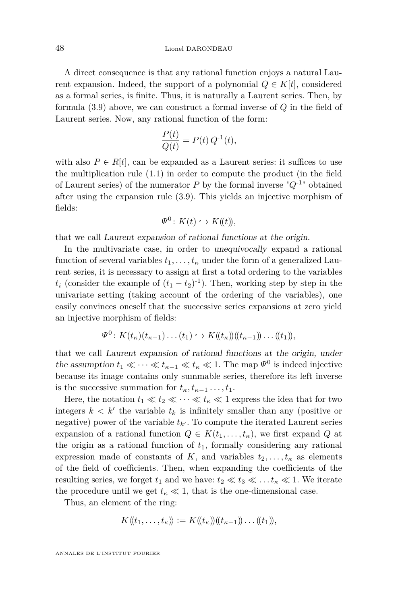A direct consequence is that any rational function enjoys a natural Laurent expansion. Indeed, the support of a polynomial  $Q \in K[t]$ , considered as a formal series, is finite. Thus, it is naturally a Laurent series. Then, by formula [\(3.9\)](#page-19-0) above, we can construct a formal inverse of *Q* in the field of Laurent series. Now, any rational function of the form:

$$
\frac{P(t)}{Q(t)} = P(t) Q^{-1}(t),
$$

with also  $P \in R[t]$ , can be expanded as a Laurent series: it suffices to use the multiplication rule [\(1.1\)](#page-4-0) in order to compute the product (in the field of Laurent series) of the numerator  $P$  by the formal inverse  $^{\prime\prime}Q^{-1}$ <sup>\*</sup> obtained after using the expansion rule [\(3.9\)](#page-19-0). This yields an injective morphism of fields:

$$
\Psi^0 \colon K(t) \hookrightarrow K(\!(t)\!),
$$

that we call Laurent expansion of rational functions at the origin.

In the multivariate case, in order to unequivocally expand a rational function of several variables  $t_1, \ldots, t_\kappa$  under the form of a generalized Laurent series, it is necessary to assign at first a total ordering to the variables  $t_i$  (consider the example of  $(t_1 - t_2)^{-1}$ ). Then, working step by step in the univariate setting (taking account of the ordering of the variables), one easily convinces oneself that the successive series expansions at zero yield an injective morphism of fields:

$$
\Psi^0\colon K(t_{\kappa})(t_{\kappa-1})\dots(t_1)\hookrightarrow K(\!(t_{\kappa})\!)(\!(t_{\kappa-1})\!)\dots(\!(t_1)\!),
$$

that we call Laurent expansion of rational functions at the origin, under the assumption  $t_1 \ll \cdots \ll t_{\kappa-1} \ll t_{\kappa} \ll 1$ . The map  $\Psi^0$  is indeed injective because its image contains only summable series, therefore its left inverse is the successive summation for  $t_k, t_{k-1}, \ldots, t_1$ .

Here, the notation  $t_1 \ll t_2 \ll \cdots \ll t_{\kappa} \ll 1$  express the idea that for two integers  $k < k'$  the variable  $t_k$  is infinitely smaller than any (positive or negative) power of the variable  $t_{k}$ . To compute the iterated Laurent series expansion of a rational function  $Q \in K(t_1, \ldots, t_{\kappa})$ , we first expand *Q* at the origin as a rational function of  $t_1$ , formally considering any rational expression made of constants of *K*, and variables  $t_2, \ldots, t_k$  as elements of the field of coefficients. Then, when expanding the coefficients of the resulting series, we forget  $t_1$  and we have:  $t_2 \ll t_3 \ll \ldots t_{\kappa} \ll 1$ . We iterate the procedure until we get  $t_{\kappa} \ll 1$ , that is the one-dimensional case.

Thus, an element of the ring:

$$
K\langle\langle t_1,\ldots,t_\kappa\rangle\rangle:=K(\langle t_\kappa\rangle)(\langle t_{\kappa-1}\rangle)\ldots(\langle t_1\rangle),
$$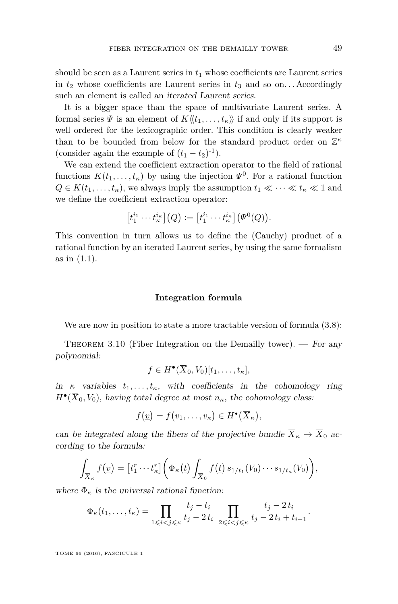should be seen as a Laurent series in *t*<sup>1</sup> whose coefficients are Laurent series in  $t_2$  whose coefficients are Laurent series in  $t_3$  and so on... Accordingly such an element is called an iterated Laurent series.

It is a bigger space than the space of multivariate Laurent series. A formal series  $\Psi$  is an element of  $K\langle\langle t_1,\ldots,t_\kappa\rangle\rangle$  if and only if its support is well ordered for the lexicographic order. This condition is clearly weaker than to be bounded from below for the standard product order on Z *κ* (consider again the example of  $(t_1 - t_2)^{-1}$ ).

We can extend the coefficient extraction operator to the field of rational functions  $K(t_1, \ldots, t_{\kappa})$  by using the injection  $\Psi^0$ . For a rational function  $Q \in K(t_1, \ldots, t_{\kappa})$ , we always imply the assumption  $t_1 \ll \cdots \ll t_{\kappa} \ll 1$  and we define the coefficient extraction operator:

$$
[t_1^{i_1} \cdots t_{\kappa}^{i_{\kappa}}](Q) := [t_1^{i_1} \cdots t_{\kappa}^{i_{\kappa}}](\Psi^0(Q)).
$$

This convention in turn allows us to define the (Cauchy) product of a rational function by an iterated Laurent series, by using the same formalism as in [\(1.1\)](#page-4-0).

#### **Integration formula**

We are now in position to state a more tractable version of formula  $(3.8)$ :

THEOREM 3.10 (Fiber Integration on the Demailly tower). — For any polynomial:

$$
f \in H^{\bullet}(\overline{X}_0, V_0)[t_1, \ldots, t_{\kappa}],
$$

in  $\kappa$  variables  $t_1, \ldots, t_\kappa$ , with coefficients in the cohomology ring  $H^{\bullet}(\overline{X}_0, V_0)$ , having total degree at most  $n_{\kappa}$ , the cohomology class:

$$
f(\underline{v})=f(v_1,\ldots,v_\kappa)\in H^\bullet(\overline{X}_\kappa),
$$

can be integrated along the fibers of the projective bundle  $\overline{X}_{\kappa} \to \overline{X}_0$  according to the formula:

$$
\int_{\overline{X}_{\kappa}} f(\underline{v}) = [t_1^r \cdots t_{\kappa}^r] \bigg( \Phi_{\kappa}(\underline{t}) \int_{\overline{X}_0} f(\underline{t}) s_{1/t_1}(V_0) \cdots s_{1/t_{\kappa}}(V_0) \bigg),
$$

where  $\Phi_{\kappa}$  is the universal rational function:

$$
\Phi_{\kappa}(t_1, ..., t_{\kappa}) = \prod_{1 \leq i < j \leq \kappa} \frac{t_j - t_i}{t_j - 2t_i} \prod_{2 \leq i < j \leq \kappa} \frac{t_j - 2t_i}{t_j - 2t_i + t_{i-1}}.
$$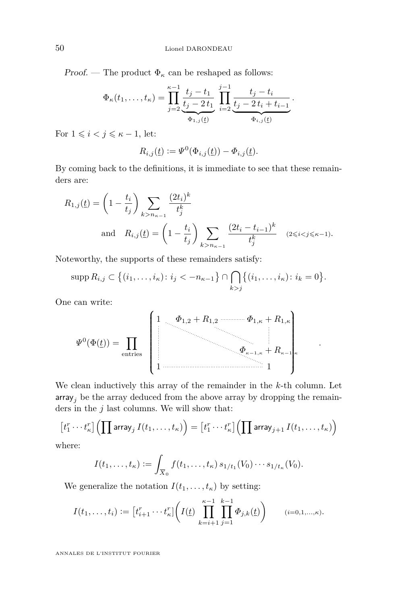Proof. — The product  $\Phi_{\kappa}$  can be reshaped as follows:

$$
\Phi_{\kappa}(t_1,\ldots,t_{\kappa}) = \prod_{j=2}^{\kappa-1} \underbrace{\frac{t_j - t_1}{t_j - 2t_1}}_{\Phi_{1,j}(\underline{t})} \prod_{i=2}^{j-1} \underbrace{\frac{t_j - t_i}{t_j - 2t_i + t_{i-1}}}_{\Phi_{i,j}(\underline{t})}.
$$

For  $1 \leq i < j \leq \kappa - 1$ , let:

$$
R_{i,j}(\underline{t}) := \Psi^0(\Phi_{i,j}(\underline{t})) - \Phi_{i,j}(\underline{t}).
$$

By coming back to the definitions, it is immediate to see that these remainders are:

$$
R_{1,j}(t) = \left(1 - \frac{t_i}{t_j}\right) \sum_{k > n_{\kappa-1}} \frac{(2t_i)^k}{t_j^k}
$$
  
and 
$$
R_{i,j}(t) = \left(1 - \frac{t_i}{t_j}\right) \sum_{k > n_{\kappa-1}} \frac{(2t_i - t_{i-1})^k}{t_j^k} \quad (2 \le i < j \le \kappa - 1).
$$

Noteworthy, the supports of these remainders satisfy:

$$
\mathrm{supp}\, R_{i,j} \subset \big\{ (i_1,\ldots,i_\kappa) \colon i_j < -n_{\kappa-1} \big\} \cap \bigcap_{k > j} \big\{ (i_1,\ldots,i_\kappa) \colon i_k = 0 \big\}.
$$

One can write:

$$
\Psi^{0}(\Phi(\underline{t})) = \prod_{\text{entries}} \begin{pmatrix} 1 & \phi_{1,2} + R_{1,2} & \cdots & \phi_{1,\kappa} + R_{1,\kappa} \\ \vdots & \ddots & \ddots & \vdots \\ \vdots & \ddots & \ddots & \vdots \\ 1 & \cdots & \ddots & \ddots & \vdots \\ 1 & \cdots & \cdots & \cdots & \ddots & \vdots \\ \end{pmatrix}
$$

*.*

We clean inductively this array of the remainder in the *k*-th column. Let  $\text{array}_j$  be the array deduced from the above array by dropping the remainders in the *j* last columns. We will show that:

$$
\left[t_1^r\cdots t_\kappa^r\right] \left(\prod \text{array}_j I(t_1,\ldots,t_\kappa)\right) = \left[t_1^r\cdots t_\kappa^r\right] \left(\prod \text{array}_{j+1} I(t_1,\ldots,t_\kappa)\right)
$$

where:

$$
I(t_1,\ldots,t_\kappa) := \int_{\overline{X}_0} f(t_1,\ldots,t_\kappa) s_{1/t_1}(V_0) \cdots s_{1/t_\kappa}(V_0).
$$

We generalize the notation  $I(t_1, \ldots, t_{\kappa})$  by setting:

$$
I(t_1,\ldots,t_i) := \left[t_{i+1}^r \cdots t_{\kappa}^r\right] \left(I(\underline{t}) \prod_{k=i+1}^{\kappa-1} \prod_{j=1}^{k-1} \Phi_{j,k}(\underline{t})\right) \qquad (i=0,1,\ldots,\kappa).
$$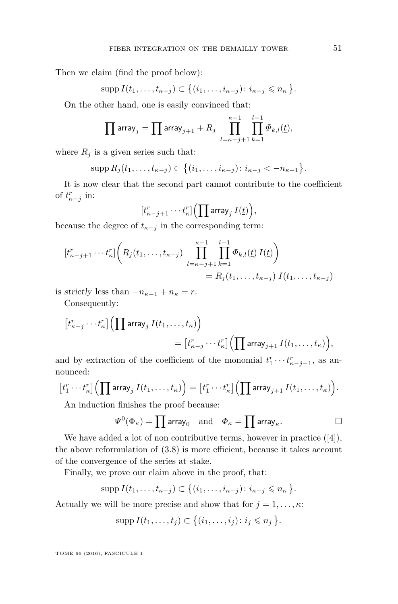Then we claim (find the proof below):

$$
\mathrm{supp}\, I(t_1,\ldots,t_{\kappa-j})\subset \big\{(i_1,\ldots,i_{\kappa-j})\colon i_{\kappa-j}\leqslant n_{\kappa}\big\}.
$$

On the other hand, one is easily convinced that:

$$
\prod \text{array}_{j} = \prod \text{array}_{j+1} + R_j \prod_{l=\kappa-j+1}^{\kappa-1} \prod_{k=1}^{l-1} \Phi_{k,l}(\underline{t}),
$$

where  $R_j$  is a given series such that:

$$
\mathrm{supp}\, R_j(t_1,\ldots,t_{\kappa-j})\subset \big\{(i_1,\ldots,i_{\kappa-j})\colon i_{\kappa-j}<-n_{\kappa-1}\big\}.
$$

It is now clear that the second part cannot contribute to the coefficient of  $t_{\kappa-j}^r$  in:

$$
[t_{\kappa-j+1}^r\cdots t_\kappa^r]\Bigl(\prod \text{array}_j\, I(\underline{t})\Bigr),
$$

because the degree of  $t_{\kappa-j}$  in the corresponding term:

$$
[t_{\kappa-j+1}^r \cdots t_{\kappa}^r] \bigg( R_j(t_1, \ldots, t_{\kappa-j}) \prod_{l=\kappa-j+1}^{\kappa-1} \prod_{k=1}^{l-1} \Phi_{k,l}(\underline{t}) I(\underline{t}) \bigg) = R_j(t_1, \ldots, t_{\kappa-j}) I(t_1, \ldots, t_{\kappa-j})
$$

is strictly less than  $-n_{\kappa-1} + n_{\kappa} = r$ .

Consequently:

$$
\begin{aligned} \left[t_{\kappa-j}^r\cdots t_{\kappa}^r\right] & \Bigl( \prod \textsf{array}_j \, I(t_1,\ldots,t_{\kappa}) \Bigr) \\ & = \bigl[t_{\kappa-j}^r\cdots t_{\kappa}^r\bigr] \Bigl( \prod \textsf{array}_{j+1} \, I(t_1,\ldots,t_{\kappa}) \Bigr), \end{aligned}
$$

and by extraction of the coefficient of the monomial  $t_1^r \cdots t_{\kappa-j-1}^r$ , as announced:

$$
\big[t_1^r\cdots t_\kappa^r\big] \Big( \prod \text{array}_j I(t_1,\ldots,t_\kappa) \Big) = \big[t_1^r\cdots t_\kappa^r\big] \Big( \prod \text{array}_{j+1} I(t_1,\ldots,t_\kappa) \Big).
$$

An induction finishes the proof because:

$$
\Psi^0(\Phi_\kappa)=\prod \text{array}_0 \quad \text{and} \quad \Phi_\kappa=\prod \text{array}_\kappa.
$$

We have added a lot of non contributive terms, however in practice ([\[4\]](#page-25-7)), the above reformulation of [\(3.8\)](#page-17-0) is more efficient, because it takes account of the convergence of the series at stake.

Finally, we prove our claim above in the proof, that:

$$
\mathrm{supp}\,I(t_1,\ldots,t_{\kappa-j})\subset \big\{(i_1,\ldots,i_{\kappa-j})\colon i_{\kappa-j}\leqslant n_{\kappa}\big\}.
$$

Actually we will be more precise and show that for  $j = 1, \ldots, \kappa$ :

$$
\operatorname{supp} I(t_1,\ldots,t_j)\subset \big\{(i_1,\ldots,i_j)\colon i_j\leqslant n_j\big\}.
$$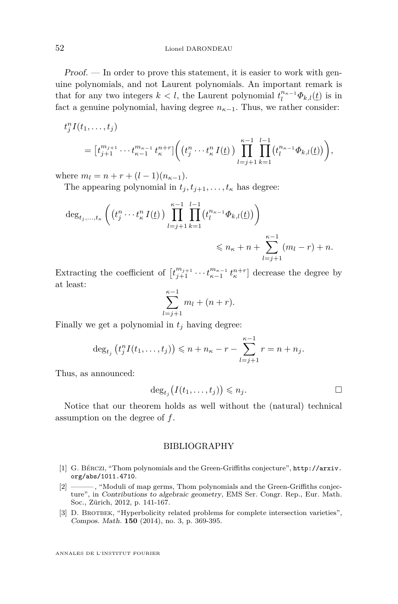Proof. — In order to prove this statement, it is easier to work with genuine polynomials, and not Laurent polynomials. An important remark is that for any two integers  $k < l$ , the Laurent polynomial  $t_l^{n_{\kappa-1}} \Phi_{k,l}(\underline{t})$  is in fact a genuine polynomial, having degree  $n_{\kappa-1}$ . Thus, we rather consider:

$$
t_j^n I(t_1, ..., t_j)
$$
  
=  $[t_{j+1}^{m_{j+1}} \cdots t_{\kappa-1}^{m_{\kappa-1}} t_{\kappa}^{n+r}] \Big( (t_j^n \cdots t_{\kappa}^n I(\underline{t})) \prod_{l=j+1}^{\kappa-1} \prod_{k=1}^{l-1} (t_l^{n_{\kappa-1}} \Phi_{k,l}(\underline{t})) \Big),$ 

where  $m_l = n + r + (l - 1)(n_{\kappa-1}).$ 

The appearing polynomial in  $t_i, t_{i+1}, \ldots, t_{\kappa}$  has degree:

$$
\deg_{t_j,...,t_{\kappa}} \left( \left( t_j^n \cdots t_{\kappa}^n I(t) \right) \prod_{l=j+1}^{\kappa-1} \prod_{k=1}^{l-1} \left( t_l^{n_{\kappa-1}} \Phi_{k,l}(t) \right) \right) \leqslant n_{\kappa} + n + \sum_{l=j+1}^{\kappa-1} (m_l - r) + n.
$$

Extracting the coefficient of  $[t_{j+1}^{m_{j+1}} \cdots t_{\kappa-1}^{m_{\kappa-1}} t_{\kappa}^{n+r}]$  decrease the degree by at least:

$$
\sum_{l=j+1}^{\kappa-1} m_l + (n+r).
$$

Finally we get a polynomial in  $t_j$  having degree:

$$
\deg_{t_j} (t_j^n I(t_1, ..., t_j)) \leq n + n_{\kappa} - r - \sum_{l=j+1}^{\kappa-1} r = n + n_j.
$$

Thus, as announced:

$$
\deg_{t_j}\big(I(t_1,\ldots,t_j)\big)\leqslant n_j.
$$

Notice that our theorem holds as well without the (natural) technical assumption on the degree of *f*.

#### BIBLIOGRAPHY

- <span id="page-24-0"></span>[1] G. Bérczi, "Thom polynomials and the Green-Griffiths conjecture", [http://arxiv.](http://arxiv.org/abs/1011.4710) [org/abs/1011.4710](http://arxiv.org/abs/1011.4710).
- <span id="page-24-2"></span>[2] ——— , "Moduli of map germs, Thom polynomials and the Green-Griffiths conjecture", in Contributions to algebraic geometry, EMS Ser. Congr. Rep., Eur. Math. Soc., Zürich, 2012, p. 141-167.
- <span id="page-24-1"></span>[3] D. BROTBEK, "Hyperbolicity related problems for complete intersection varieties", Compos. Math. **150** (2014), no. 3, p. 369-395.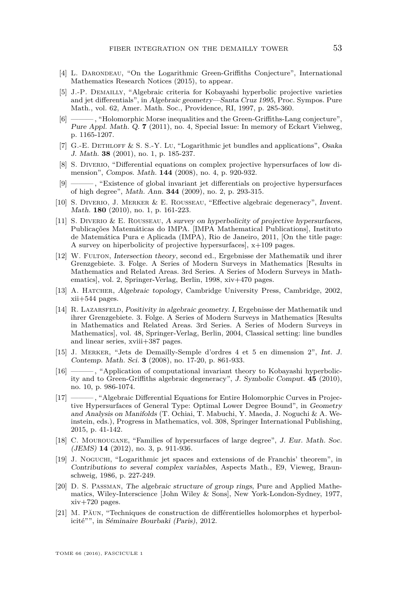- <span id="page-25-7"></span>[4] L. DARONDEAU, "On the Logarithmic Green-Griffiths Conjecture", International Mathematics Research Notices (2015), to appear.
- <span id="page-25-1"></span>[5] J.-P. Demailly, "Algebraic criteria for Kobayashi hyperbolic projective varieties and jet differentials", in Algebraic geometry—Santa Cruz 1995, Proc. Sympos. Pure Math., vol. 62, Amer. Math. Soc., Providence, RI, 1997, p. 285-360.
- <span id="page-25-6"></span>[6] ——— , "Holomorphic Morse inequalities and the Green-Griffiths-Lang conjecture", Pure Appl. Math. Q. **7** (2011), no. 4, Special Issue: In memory of Eckart Viehweg, p. 1165-1207.
- <span id="page-25-2"></span>[7] G.-E. DETHLOFF & S. S.-Y. Lu, "Logarithmic jet bundles and applications", Osaka J. Math. **38** (2001), no. 1, p. 185-237.
- <span id="page-25-8"></span>[8] S. DIVERIO, "Differential equations on complex projective hypersurfaces of low dimension", Compos. Math. **144** (2008), no. 4, p. 920-932.
- <span id="page-25-9"></span>[9] ——— , "Existence of global invariant jet differentials on projective hypersurfaces of high degree", Math. Ann. **344** (2009), no. 2, p. 293-315.
- <span id="page-25-10"></span>[10] S. Diverio, J. Merker & E. Rousseau, "Effective algebraic degeneracy", Invent. Math. **180** (2010), no. 1, p. 161-223.
- <span id="page-25-3"></span>[11] S. Diverio & E. Rousseau, A survey on hyperbolicity of projective hypersurfaces, Publicações Matemáticas do IMPA. [IMPA Mathematical Publications], Instituto de Matemática Pura e Aplicada (IMPA), Rio de Janeiro, 2011, [On the title page: A survey on hiperbolicity of projective hypersurfaces], x+109 pages.
- <span id="page-25-14"></span>[12] W. Fulton, Intersection theory, second ed., Ergebnisse der Mathematik und ihrer Grenzgebiete. 3. Folge. A Series of Modern Surveys in Mathematics [Results in Mathematics and Related Areas. 3rd Series. A Series of Modern Surveys in Mathematics], vol. 2, Springer-Verlag, Berlin, 1998, xiv+470 pages.
- <span id="page-25-12"></span>[13] A. HATCHER, Algebraic topology, Cambridge University Press, Cambridge, 2002, xii+544 pages.
- <span id="page-25-17"></span>[14] R. Lazarsfeld, Positivity in algebraic geometry. I, Ergebnisse der Mathematik und ihrer Grenzgebiete. 3. Folge. A Series of Modern Surveys in Mathematics [Results in Mathematics and Related Areas. 3rd Series. A Series of Modern Surveys in Mathematics], vol. 48, Springer-Verlag, Berlin, 2004, Classical setting: line bundles and linear series, xviii+387 pages.
- <span id="page-25-15"></span>[15] J. Merker, "Jets de Demailly-Semple d'ordres 4 et 5 en dimension 2", Int. J. Contemp. Math. Sci. **3** (2008), no. 17-20, p. 861-933.
- <span id="page-25-16"></span>[16] ——— , "Application of computational invariant theory to Kobayashi hyperbolicity and to Green-Griffiths algebraic degeneracy", J. Symbolic Comput. **45** (2010), no. 10, p. 986-1074.
- <span id="page-25-5"></span>[17] ———, "Algebraic Differential Equations for Entire Holomorphic Curves in Projective Hypersurfaces of General Type: Optimal Lower Degree Bound", in Geometry and Analysis on Manifolds (T. Ochiai, T. Mabuchi, Y. Maeda, J. Noguchi & A. Weinstein, eds.), Progress in Mathematics, vol. 308, Springer International Publishing, 2015, p. 41-142.
- <span id="page-25-11"></span>[18] C. Mourougane, "Families of hypersurfaces of large degree", J. Eur. Math. Soc. (JEMS) **14** (2012), no. 3, p. 911-936.
- <span id="page-25-0"></span>[19] J. Noguchi, "Logarithmic jet spaces and extensions of de Franchis' theorem", in Contributions to several complex variables, Aspects Math., E9, Vieweg, Braunschweig, 1986, p. 227-249.
- <span id="page-25-13"></span>[20] D. S. Passman, The algebraic structure of group rings, Pure and Applied Mathematics, Wiley-Interscience [John Wiley & Sons], New York-London-Sydney, 1977, xiv+720 pages.
- <span id="page-25-4"></span>[21] M. Păun, "Techniques de construction de différentielles holomorphes et hyperbolicité"", in Séminaire Bourbaki (Paris), 2012.